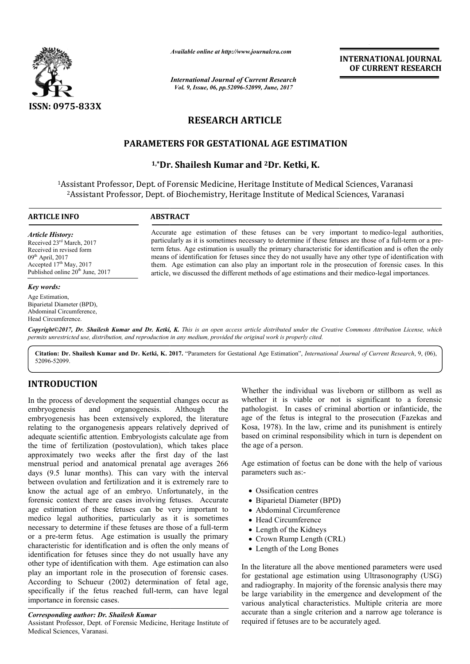

*Available online at http://www.journalcra.com*

*International Journal of Current Research Vol. 9, Issue, 06, pp.52096-52099, June, 2017*

**INTERNATIONAL JOURNAL OF CURRENT RESEARCH** 

# **RESEARCH ARTICLE**

# **PARAMETERS FOR GESTATIONAL AGE ESTIMATION**

# **1,\*Dr. Shailesh Kumar and Dr. 2Dr. Ketki, K.**

1Assistant Professor, Dept. of Forensic Medicine, Heritage Institute of Medical Sciences, Varanasi ssistant Professor, Dept. of Forensic Medicine, Heritage Institute of Medical Sciences, Varan<br><sup>2</sup>Assistant Professor, Dept. of Biochemistry, Heritage Institute of Medical Sciences, Varanasi

#### **ARTICLE INFO ABSTRACT**

*Article History:* Received 23rd March, 2017 Received in revised form  $09<sup>th</sup>$  April, 2017  $Accepted 17<sup>th</sup> May, 2017$ Published online 20<sup>th</sup> June, 2017

#### *Key words:*

Age Estimation, Biparietal Diameter (BPD), Abdominal Circumference, Head Circumference.

Accurate age estimation of these fetuses can be very important to medico-legal authorities, particularly as it is sometimes necessary to determine if these fetuses are those of a full-term or a preterm fetus. Age estimation is usually the primary characteristic for identification and is often the only term fetus. Age estimation is usually the primary characteristic for identification and is often the only means of identification for fetuses since they do not usually have any other type of identification with them. Age estimation can also play an important role in the prosecution of forensic cases. In this them. Age estimation can also play an important role in the prosecution of forensic cases. In article, we discussed the different methods of age estimations and their medico-legal importances.

*Copyright©2017, Dr. Shailesh Kumar and Dr. Ketki, K. This is an open access article distributed under the Creative Commons Att Creative Attribution License, which permits unrestricted use, distribution, and reproduction in any medium, provided the original work is properly cited.*

**Citation: Dr. Shailesh Kumar and Dr. Ketki, K. 2017.** "Parameters for Gestational Age Estimation", *International Journal of Current Research*, 9, (06), 52096-52099.

# **INTRODUCTION**

In the process of development the sequential changes occur as embryogenesis and organogenesis. Although the embryogenesis has been extensively explored, the literature relating to the organogenesis appears relatively deprived of adequate scientific attention. Embryologists calculate age from the time of fertilization (postovulation), which takes place approximately two weeks after the first day of the last menstrual period and anatomical prenatal age averages 266 days (9.5 lunar months). This can vary with the interval between ovulation and fertilization and it is extremely rare to know the actual age of an embryo. Unfortunately, in the forensic context there are cases involving fetuses. Accurate age estimation of these fetuses can be very important to medico legal authorities, particularly as it is sometimes menstrual period and anatomical prenatal age averages 266 days (9.5 lunar months). This can vary with the interval between ovulation and fertilization and it is extremely rare to know the actual age of an embryo. Unfortuna or a pre-term fetus. Age estimation is usually the primary characteristic for identification and is often the only means of identification for fetuses since they do not usually have any other type of identification with them. Age estimation can also play an important role in the prosecution of forensic cases. According to Schueur (2002) determination of fetal age, specifically if the fetus reached full-term, can have legal importance in forensic cases. s usually the primary<br>ften the only means of<br>not usually have any<br>ge estimation can also<br>ion of forensic cases. Whether the individual was liveborn or stillborn as well as<br>
s. Although the pathologist. In cases of criminal abortion or infanticide, the<br>
xplored, the literature age of the fetus is integral to the prosecution (Fazekas

### *Corresponding author: Dr. Shailesh Kumar*

Assistant Professor, Dept. of Forensic Medicine, Heritage Institute of Medical Sciences, Varanasi.

whether it is viable or not is significant to a forensic pathologist. In cases of criminal abortion or infanticide, the age of the fetus is integral to the prosecution (Fazekas and Kosa, 1978). In the law, crime and its punishment is entirely based on criminal responsibility which in turn is dependent on the age of a person. ether the individual was liveborn or stillborn as well as<br>ther it is viable or not is significant to a forensic<br>ologist. In cases of criminal abortion or infanticide, the<br>of the fetus is integral to the prosecution (Fazeka **INTERNATIONAL JOURNAL**<br> **CRIMENT RESEARCH**<br> **CRIMENT RESEARCH**<br> **CRIMENT RESEARCH**<br> **CRIMENT RESEARCH**<br> **CRIMENT ACTION**<br> **DCF**<br> **CRIMENTION**<br> **DCF**<br> **CRIMENTION**<br> **CRIMENT ACTION**<br> **CRIMENT ACTION**<br> **CRIMENT ACTION**<br> **C** 

Age estimation of foetus can be done with the help of various parameters such as:-

- Ossification centres
- Biparietal Diameter (BPD)
- Abdominal Circumference
- Head Circumference
- Length of the Kidneys
- Crown Rump Length (CRL)
- Length of the Long Bones

In the literature all the above mentioned parameters were used for gestational age estimation using Ultrasonography (USG) and radiography. In majority of the forensic analysis there may be large variability in the emergence and development of the various analytical characteristics. Multiple criteria are more accurate than a single criterion and a narrow age tolerance is required if fetuses are to be accurately aged.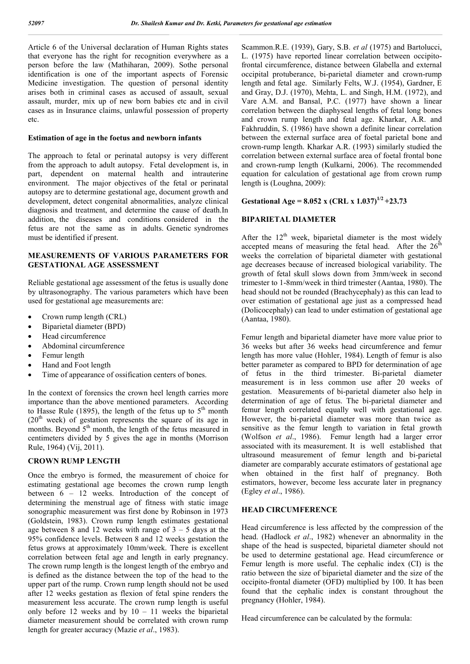Article 6 of the Universal declaration of Human Rights states that everyone has the right for recognition everywhere as a person before the law (Mathiharan, 2009). Sothe personal identification is one of the important aspects of Forensic Medicine investigation. The question of personal identity arises both in criminal cases as accused of assault, sexual assault, murder, mix up of new born babies etc and in civil cases as in Insurance claims, unlawful possession of property etc.

#### **Estimation of age in the foetus and newborn infants**

The approach to fetal or perinatal autopsy is very different from the approach to adult autopsy. Fetal development is, in part, dependent on maternal health and intrauterine environment. The major objectives of the fetal or perinatal autopsy are to determine gestational age, document growth and development, detect congenital abnormalities, analyze clinical diagnosis and treatment, and determine the cause of death.In addition, the diseases and conditions considered in the fetus are not the same as in adults. Genetic syndromes must be identified if present.

# **MEASUREMENTS OF VARIOUS PARAMETERS FOR GESTATIONAL AGE ASSESSMENT**

Reliable gestational age assessment of the fetus is usually done by ultrasonography. The various parameters which have been used for gestational age measurements are:

- Crown rump length (CRL)
- Biparietal diameter (BPD)
- Head circumference
- Abdominal circumference
- Femur length
- Hand and Foot length
- Time of appearance of ossification centers of bones.

In the context of forensics the crown heel length carries more importance than the above mentioned parameters. According to Hasse Rule (1895), the length of the fetus up to  $5<sup>th</sup>$  month  $(20<sup>th</sup>$  week) of gestation represents the square of its age in months. Beyond  $5<sup>th</sup>$  month, the length of the fetus measured in centimeters divided by 5 gives the age in months (Morrison Rule, 1964) (Vij, 2011).

## **CROWN RUMP LENGTH**

Once the embryo is formed, the measurement of choice for estimating gestational age becomes the crown rump length between 6 – 12 weeks. Introduction of the concept of determining the menstrual age of fitness with static image sonographic measurement was first done by Robinson in 1973 (Goldstein, 1983). Crown rump length estimates gestational age between 8 and 12 weeks with range of  $3 - 5$  days at the 95% confidence levels. Between 8 and 12 weeks gestation the fetus grows at approximately 10mm/week. There is excellent correlation between fetal age and length in early pregnancy. The crown rump length is the longest length of the embryo and is defined as the distance between the top of the head to the upper part of the rump. Crown rump length should not be used after 12 weeks gestation as flexion of fetal spine renders the measurement less accurate. The crown rump length is useful only before 12 weeks and by  $10 - 11$  weeks the biparietal diameter measurement should be correlated with crown rump length for greater accuracy (Mazie *et al*., 1983).

Scammon.R.E. (1939), Gary, S.B. *et al* (1975) and Bartolucci, L. (1975) have reported linear correlation between occipitofrontal circumference, distance between Glabella and external occipital protuberance, bi-parietal diameter and crown-rump length and fetal age. Similarly Felts, W.J. (1954), Gardner, E and Gray, D.J. (1970), Mehta, L. and Singh, H.M. (1972), and Vare A.M. and Bansal, P.C. (1977) have shown a linear correlation between the diaphyseal lengths of fetal long bones and crown rump length and fetal age. Kharkar, A.R. and Fakhruddin, S. (1986) have shown a definite linear correlation between the external surface area of foetal parietal bone and crown-rump length. Kharkar A.R. (1993) similarly studied the correlation between external surface area of foetal frontal bone and crown-rump length (Kulkarni, 2006). The recommended equation for calculation of gestational age from crown rump length is (Loughna, 2009):

# **Gestational Age = 8.052 x (CRL x 1.037)**<sup>1/2</sup> +23.73

### **BIPARIETAL DIAMETER**

After the  $12<sup>th</sup>$  week, biparietal diameter is the most widely accepted means of measuring the fetal head. After the  $26<sup>th</sup>$ weeks the correlation of biparietal diameter with gestational age decreases because of increased biological variability. The growth of fetal skull slows down from 3mm/week in second trimester to 1-8mm/week in third trimester (Aantaa, 1980). The head should not be rounded (Brachycephaly) as this can lead to over estimation of gestational age just as a compressed head (Dolicocephaly) can lead to under estimation of gestational age (Aantaa, 1980).

Femur length and biparietal diameter have more value prior to 36 weeks but after 36 weeks head circumference and femur length has more value (Hohler, 1984). Length of femur is also better parameter as compared to BPD for determination of age of fetus in the third trimester. Bi-parietal diameter measurement is in less common use after 20 weeks of gestation. Measurements of bi-parietal diameter also help in determination of age of fetus. The bi-parietal diameter and femur length correlated equally well with gestational age. However, the bi-parietal diameter was more than twice as sensitive as the femur length to variation in fetal growth (Wolfson *et al*., 1986). Femur length had a larger error associated with its measurement. It is well established that ultrasound measurement of femur length and bi-parietal diameter are comparably accurate estimators of gestational age when obtained in the first half of pregnancy. Both estimators, however, become less accurate later in pregnancy (Egley *et al*., 1986).

# **HEAD CIRCUMFERENCE**

Head circumference is less affected by the compression of the head. (Hadlock *et al*., 1982) whenever an abnormality in the shape of the head is suspected, biparietal diameter should not be used to determine gestational age. Head circumference or Femur length is more useful. The cephalic index (CI) is the ratio between the size of biparietal diameter and the size of the occipito-frontal diameter (OFD) multiplied by 100. It has been found that the cephalic index is constant throughout the pregnancy (Hohler, 1984).

Head circumference can be calculated by the formula: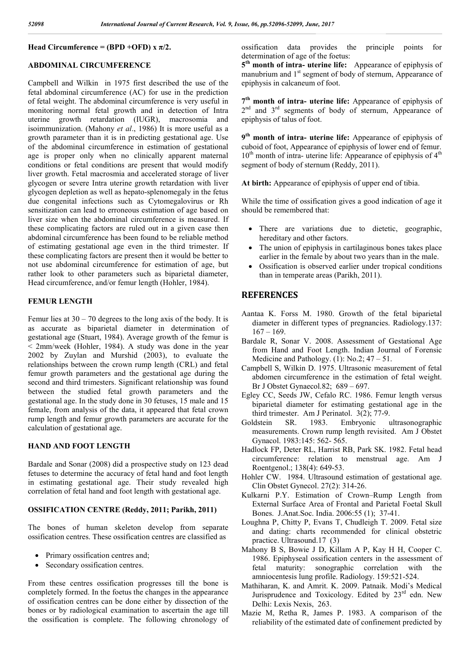### **Head Circumference = (BPD +OFD) x**  $\pi/2$ **.**

#### **ABDOMINAL CIRCUMFERENCE**

Campbell and Wilkin in 1975 first described the use of the fetal abdominal circumference (AC) for use in the prediction of fetal weight. The abdominal circumference is very useful in monitoring normal fetal growth and in detection of Intra uterine growth retardation (IUGR), macrosomia and isoimmunization. (Mahony *et al*., 1986) It is more useful as a growth parameter than it is in predicting gestational age. Use of the abdominal circumference in estimation of gestational age is proper only when no clinically apparent maternal conditions or fetal conditions are present that would modify liver growth. Fetal macrosmia and accelerated storage of liver glycogen or severe Intra uterine growth retardation with liver glycogen depletion as well as hepato-splenomegaly in the fetus due congenital infections such as Cytomegalovirus or Rh sensitization can lead to erroneous estimation of age based on liver size when the abdominal circumference is measured. If these complicating factors are ruled out in a given case then abdominal circumference has been found to be reliable method of estimating gestational age even in the third trimester. If these complicating factors are present then it would be better to not use abdominal circumference for estimation of age, but rather look to other parameters such as biparietal diameter, Head circumference, and/or femur length (Hohler, 1984).

## **FEMUR LENGTH**

Femur lies at  $30 - 70$  degrees to the long axis of the body. It is as accurate as biparietal diameter in determination of gestational age (Stuart, 1984). Average growth of the femur is < 2mm/week (Hohler, 1984). A study was done in the year 2002 by Zuylan and Murshid (2003), to evaluate the relationships between the crown rump length (CRL) and fetal femur growth parameters and the gestational age during the second and third trimesters. Significant relationship was found between the studied fetal growth parameters and the gestational age. In the study done in 30 fetuses, 15 male and 15 female, from analysis of the data, it appeared that fetal crown rump length and femur growth parameters are accurate for the calculation of gestational age.

# **HAND AND FOOT LENGTH**

Bardale and Sonar (2008) did a prospective study on 123 dead fetuses to determine the accuracy of fetal hand and foot length in estimating gestational age. Their study revealed high correlation of fetal hand and foot length with gestational age.

#### **OSSIFICATION CENTRE (Reddy, 2011; Parikh, 2011)**

The bones of human skeleton develop from separate ossification centres. These ossification centres are classified as

- Primary ossification centres and;
- Secondary ossification centres.

From these centres ossification progresses till the bone is completely formed. In the foetus the changes in the appearance of ossification centres can be done either by dissection of the bones or by radiological examination to ascertain the age till the ossification is complete. The following chronology of ossification data provides the principle points for determination of age of the foetus:

**5th month of intra- uterine life:** Appearance of epiphysis of manubrium and  $1<sup>st</sup>$  segment of body of sternum, Appearance of epiphysis in calcaneum of foot.

**7th month of intra- uterine life:** Appearance of epiphysis of  $2<sup>nd</sup>$  and  $3<sup>rd</sup>$  segments of body of sternum. Appearance of epiphysis of talus of foot.

**9th month of intra- uterine life:** Appearance of epiphysis of cuboid of foot, Appearance of epiphysis of lower end of femur.  $10<sup>th</sup>$  month of intra- uterine life: Appearance of epiphysis of  $4<sup>th</sup>$ segment of body of sternum (Reddy, 2011).

**At birth:** Appearance of epiphysis of upper end of tibia.

While the time of ossification gives a good indication of age it should be remembered that:

- There are variations due to dietetic, geographic, hereditary and other factors.
- The union of epiphysis in cartilaginous bones takes place earlier in the female by about two years than in the male.
- Ossification is observed earlier under tropical conditions than in temperate areas (Parikh, 2011).

# **REFERENCES**

- Aantaa K. Forss M. 1980. Growth of the fetal biparietal diameter in different types of pregnancies. Radiology.137:  $167 - 169$
- Bardale R, Sonar V. 2008. Assessment of Gestational Age from Hand and Foot Length. Indian Journal of Forensic Medicine and Pathology.  $(1)$ : No.2;  $47 - 51$ .
- Campbell S, Wilkin D. 1975. Ultrasonic measurement of fetal abdomen circumference in the estimation of fetal weight. Br J Obstet Gynaecol.82; 689 – 697.
- Egley CC, Seeds JW, Cefalo RC. 1986. Femur length versus biparietal diameter for estimating gestational age in the third trimester. Am J Perinatol. 3(2); 77-9.
- Goldstein SR. 1983. Embryonic ultrasonographic measurements. Crown rump length revisited. Am J Obstet Gynacol. 1983:145: 562- 565.
- Hadlock FP, Deter RL, Harrist RB, Park SK. 1982. Fetal head circumference: relation to menstrual age. Am J Roentgenol.; 138(4): 649-53.
- Hohler CW. 1984. Ultrasound estimation of gestational age. Clin Obstet Gynecol. 27(2): 314-26.
- Kulkarni P.Y. Estimation of Crown–Rump Length from External Surface Area of Frontal and Parietal Foetal Skull Bones. J.Anat.Soc. India. 2006:55 (1); 37-41.
- Loughna P, Chitty P, Evans T, Chudleigh T. 2009. Fetal size and dating: charts recommended for clinical obstetric practice. Ultrasound.17 (3)
- Mahony B S, Bowie J D, Killam A P, Kay H H, Cooper C. 1986. Epiphyseal ossification centers in the assessment of fetal maturity: sonographic correlation with the amniocentesis lung profile. Radiology. 159:521-524.
- Mathiharan, K. and Amrit. K. 2009. Patnaik. Modi's Medical Jurisprudence and Toxicology. Edited by  $23<sup>rd</sup>$  edn. New Delhi: Lexis Nexis, 263.
- Mazie M, Retha R, James P. 1983. A comparison of the reliability of the estimated date of confinement predicted by